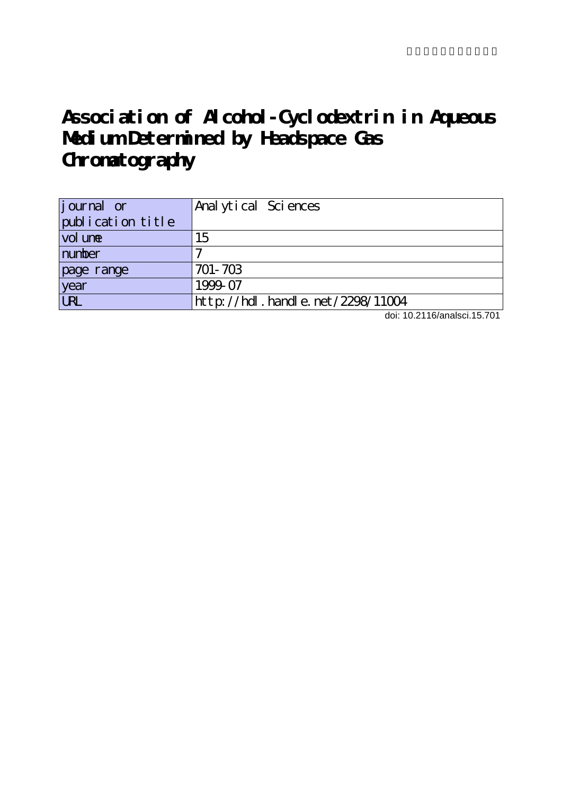# **Association of Alcohol-Cyclodextrin in Aqueous Medium Determined by Headspace Gas Chromatography**

| <i>j</i> ournal or | Anal ytical Sciences                |
|--------------------|-------------------------------------|
| publication title  |                                     |
| vol une            | 15                                  |
| number             |                                     |
| page range         | 701-703                             |
| year               | 1999-07                             |
| <b>URL</b>         | http://hdl. handle. net /2298/11004 |

doi: 10.2116/analsci.15.701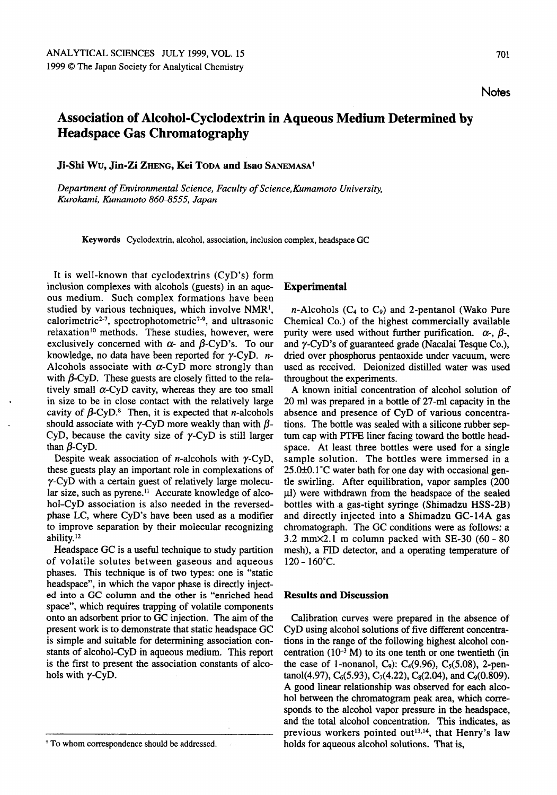**Notes** 

## Association of Alcohol-Cyclodextrin in Aqueous Medium Determined by Headspace Gas Chromatography

Ji-Shi Wu, Jin-Zi ZHENG, Kei TODA and Isao SANEMASA<sup>†</sup>

Department of Environmental Science, Faculty of Science,Kumamoto University, Kurokami, Kumamoto 860-8555, Japan

Keywords Cyclodextrin, alcohol, association, inclusion complex, headspace GC

It is well-known that cyclodextrins (CyD's) form inclusion complexes with alcohols (guests) in an aque ous medium. Such complex formations have been studied by various techniques, which involve NMR1, calorimetric<sup>2-7</sup>, spectrophotometric<sup>7-9</sup>, and ultrasonic relaxation<sup>10</sup> methods. These studies, however, were exclusively concerned with  $\alpha$ - and  $\beta$ -CyD's. To our knowledge, no data have been reported for  $\gamma$ -CyD. *n*-Alcohols associate with  $\alpha$ -CyD more strongly than with  $\beta$ -CyD. These guests are closely fitted to the relatively small  $\alpha$ -CyD cavity, whereas they are too small in size to be in close contact with the relatively large cavity of  $\beta$ -CyD.<sup>8</sup> Then, it is expected that *n*-alcohols should associate with  $\gamma$ -CyD more weakly than with  $\beta$ -CyD, because the cavity size of  $\gamma$ -CyD is still larger than  $\beta$ -CyD.

Despite weak association of *n*-alcohols with  $\gamma$ -CyD, these guests play an important role in complexations of  $\gamma$ -CyD with a certain guest of relatively large molecular size, such as pyrene.<sup>11</sup> Accurate knowledge of alcohol-CyD association is also needed in the reversedphase LC, where CyD's have been used as modifier to improve separation by their molecular recognizing ability.12

Headspace GC is a useful technique to study partition of volatile solutes between gaseous and aqueous phases. This technique is of two types: one is "static headspace", in which the vapor phase is directly inject ed into a GC column and the other is "enriched head space", which requires trapping of volatile components onto an adsorbent prior to GC injection. The aim of the present work is to demonstrate that static headspace GC is simple and suitable for determining association con stants of alcohol-CyD in aqueous medium. This report is the first to present the association constants of alco hols with  $\gamma$ -CyD.

#### Experimental

 $n$ -Alcohols (C<sub>4</sub> to C<sub>9</sub>) and 2-pentanol (Wako Pure Chemical Co.) of the highest commercially available purity were used without further purification.  $\alpha$ -,  $\beta$ -, and  $\gamma$ -CyD's of guaranteed grade (Nacalai Tesque Co.), dried over phosphorus pentaoxide under vacuum, were used as received. Deionized distilled water was used throughout the experiments.

A known initial concentration of alcohol solution of 20 ml was prepared in a bottle of 27-ml capacity in the absence and presence of CyD of various concentra tions. The bottle was sealed with a silicone rubber septum cap with PTFE liner facing toward the bottle head space. At least three bottles were used for a single sample solution. The bottles were immersed in a 25.0±0.1°C water bath for one day with occasional gen tle swirling. After equilibration, vapor samples (200  $\mu$ l) were withdrawn from the headspace of the sealed bottles with a gas-tight syringe (Shimadzu HSS-2B) and directly injected into a Shimadzu GC-14A gas chromatograph. The GC conditions were as follows:  $3.2$  mm $\times$ 2.1 m column packed with SE-30 (60 - 80 mesh), a FID detector, and a operating temperature of  $120 - 160^{\circ}$ C.

#### Results and Discussion

Calibration curves were prepared in the absence of CyD using alcohol solutions of five different concentra tions in the range of the following highest alcohol con centration  $(10^{-3} M)$  to its one tenth or one twentieth (in the case of 1-nonanol, C<sub>9</sub>): C<sub>4</sub>(9.96), C<sub>5</sub>(5.08), 2-pentanol(4.97),  $C_6(5.93)$ ,  $C_7(4.22)$ ,  $C_8(2.04)$ , and  $C_9(0.809)$ . A good linear relationship was observed for each alcohol between the chromatogram peak area, which corre sponds to the alcohol vapor pressure in the headspace, and the total alcohol concentration. This indicates, as previous workers pointed out<sup>13,14</sup>, that Henry's law holds for aqueous alcohol solutions. That is,

<sup>&</sup>lt;sup>+</sup> To whom correspondence should be addressed.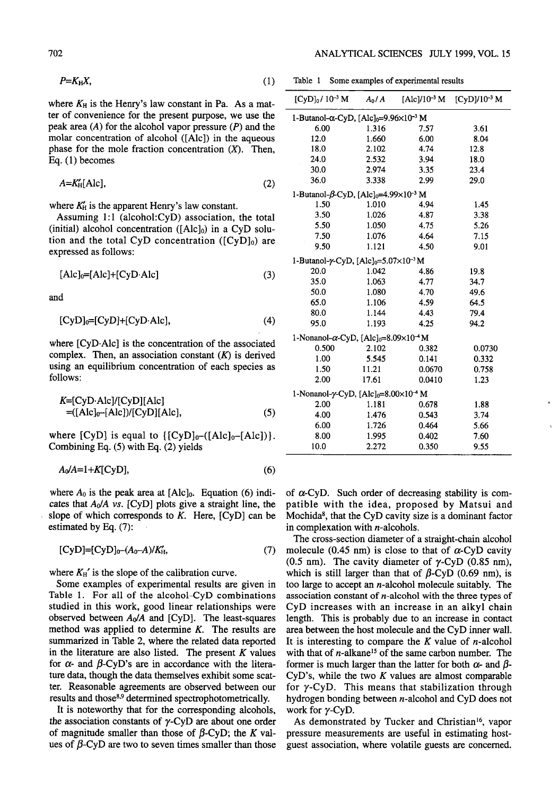$$
P=K_{H}X, \qquad (1)
$$

where  $K_H$  is the Henry's law constant in Pa. As a matter of convenience for the present purpose, we use the peak area  $(A)$  for the alcohol vapor pressure  $(P)$  and the molar concentration of alcohol ([Ale]) in the aqueous phase for the mole fraction concentration  $(X)$ . Then, Eq. (1) becomes

$$
A = K'_{\text{H}}[\text{Alc}],\tag{2}
$$

where  $K_H'$  is the apparent Henry's law constant.

Assuming 1:1 (alcohol:CyD) association, the total (initial) alcohol concentration ( $[Alc]_0$ ) in a CyD solution and the total CyD concentration  $([CyD]_0)$  are expressed as follows:

$$
[Alc]_0=[Alc]+[CyD·Alc]
$$
 (3)

and

$$
[CyD]_0=[CyD]+[CyD·Alc], \qquad (4)
$$

where [CyD-Alc] is the concentration of the associated complex. Then, an association constant  $(K)$  is derived using an equilibrium concentration of each species as follows:

$$
K=[CyD·Alc]/[CyD][Alc]
$$
  
=([Alc]<sub>0</sub>–[Alc]/[CyD][Alc], (5)

where  $[CyD]$  is equal to  $\{[CyD]_{0}-([Alc]_{0}-[Alc])\}.$ Combining Eq. (5) with Eq. (2) yields

$$
A_0/A=1+K[\text{CyD}],\tag{6}
$$

where  $A_0$  is the peak area at  $[Alc]_0$ . Equation (6) indicates that  $A_0/A$  vs. [CyD] plots give a straight line, the slope of which corresponds to  $K$ . Here,  $[CyD]$  can be estimated by Eq. (7):

$$
[CyD]=[CyD]_{0}-(A_{0}-A)/K'_{H}, \qquad (7)
$$

where  $K_H'$  is the slope of the calibration curve.

Some examples of experimental results are given in Table 1. For all of the alcohol-CyD combinations studied in this work, good linear relationships were observed between  $A_0/A$  and [CyD]. The least-squares method was applied to determine K. The results are summarized in Table 2, where the related data reported in the literature are also listed. The present  $K$  values for  $\alpha$ - and  $\beta$ -CyD's are in accordance with the literature data, though the data themselves exhibit some scat ter. Reasonable agreements are observed between our results and those<sup>8,9</sup> determined spectrophotometrically.

It is noteworthy that for the corresponding alcohols, the association constants of  $\gamma$ -CyD are about one order of magnitude smaller than those of  $\beta$ -CyD; the K values of  $\beta$ -CyD are two to seven times smaller than those

Table 1 Some examples of experimental results

| $[CyD]_0/10^{-3} M$                                                   | $A_0/A$ | $[Alc]/10^{-3} M$ | [CyD]/10-3 M |  |  |  |  |
|-----------------------------------------------------------------------|---------|-------------------|--------------|--|--|--|--|
| 1-Butanol-α-CyD, [Alc] <sub>0</sub> =9.96×10 <sup>-3</sup> M          |         |                   |              |  |  |  |  |
| 6.00                                                                  | 1.316   | 7.57              | 3.61         |  |  |  |  |
| 12.0                                                                  | 1.660   | 6.00              | 8.04         |  |  |  |  |
| 18.0                                                                  | 2.102   | 4.74              | 12.8         |  |  |  |  |
| 24.0                                                                  | 2.532   | 3.94              | 18.0         |  |  |  |  |
| 30.0                                                                  | 2.974   | 3.35              | 23.4         |  |  |  |  |
| 36.0                                                                  | 3.338   | 2.99              | 29.0         |  |  |  |  |
| 1-Butanol- $\beta$ -CyD, [Alc] <sub>0</sub> =4.99×10 <sup>-3</sup> M  |         |                   |              |  |  |  |  |
| 1.50                                                                  | 1.010   | 4.94              | 1.45         |  |  |  |  |
| 3.50                                                                  | 1.026   | 4.87              | 3.38         |  |  |  |  |
| 5.50                                                                  | 1.050   | 4.75              | 5.26         |  |  |  |  |
| 7.50                                                                  | 1.076   | 4.64              | 7.15         |  |  |  |  |
| 9.50                                                                  | 1.121   | 4.50              | 9.01         |  |  |  |  |
| 1-Butanol- $\gamma$ -CyD, [Alc] <sub>0</sub> =5.07×10 <sup>-3</sup> M |         |                   |              |  |  |  |  |
| 20.0                                                                  | 1.042   | 4.86              | 19.8         |  |  |  |  |
| 35.0                                                                  | 1.063   | 4.77              | 34.7         |  |  |  |  |
| 50.0                                                                  | 1.080   | 4.70              | 49.6         |  |  |  |  |
| 65.0                                                                  | 1.106   | 4.59              | 64.5         |  |  |  |  |
| 80.0                                                                  | 1.144   | 4.43              | 79.4         |  |  |  |  |
| 95.0                                                                  | 1.193   | 4.25              | 94.2         |  |  |  |  |
| 1-Nonanol- $\alpha$ -CyD, [Alc] <sub>0</sub> =8.09×10 <sup>-4</sup> M |         |                   |              |  |  |  |  |
| 0.500                                                                 | 2.102   | 0.382             | 0.0730       |  |  |  |  |
| 1.00                                                                  | 5.545   | 0.141             | 0.332        |  |  |  |  |
| 1.50                                                                  | 11.21   | 0.0670            | 0.758        |  |  |  |  |
| 2.00                                                                  | 17.61   | 0.0410            | 1.23         |  |  |  |  |
| 1-Nonanol- $\gamma$ -CyD, [Alc] <sub>0</sub> =8.00×10 <sup>-4</sup> M |         |                   |              |  |  |  |  |
| 2.00                                                                  | 1.181   | 0.678             | 1.88         |  |  |  |  |
| 4.00                                                                  | 1.476   | 0.543             | 3.74         |  |  |  |  |
| 6.00                                                                  | 1.726   | 0.464             | 5.66         |  |  |  |  |
| 8.00                                                                  | 1.995   | 0.402             | 7.60         |  |  |  |  |
| 10.0                                                                  | 2.272   | 0.350             | 9.55         |  |  |  |  |

of  $\alpha$ -CyD. Such order of decreasing stability is compatible with the idea, proposed by Matsui and Mochida<sup>8</sup>, that the CyD cavity size is a dominant factor in complexation with  $n$ -alcohols.

The cross-section diameter of a straight-chain alcohol molecule (0.45 nm) is close to that of  $\alpha$ -CyD cavity (0.5 nm). The cavity diameter of  $\gamma$ -CyD (0.85 nm), which is still larger than that of  $\beta$ -CyD (0.69 nm), is too large to accept an  $n$ -alcohol molecule suitably. The association constant of  $n$ -alcohol with the three types of CyD increases with an increase in an alkyl chain length. This is probably due to an increase in contact area between the host molecule and the CyD inner wall. It is interesting to compare the  $K$  value of *n*-alcohol with that of  $n$ -alkane<sup>15</sup> of the same carbon number. The former is much larger than the latter for both  $\alpha$ - and  $\beta$ -CyD's, while the two  $K$  values are almost comparable for  $\gamma$ -CyD. This means that stabilization through hydrogen bonding between n-alcohol and CyD does not work for y-CyD.

As demonstrated by Tucker and Christian<sup>16</sup>, vapor pressure measurements are useful in estimating hostguest association, where volatile guests are concerned.